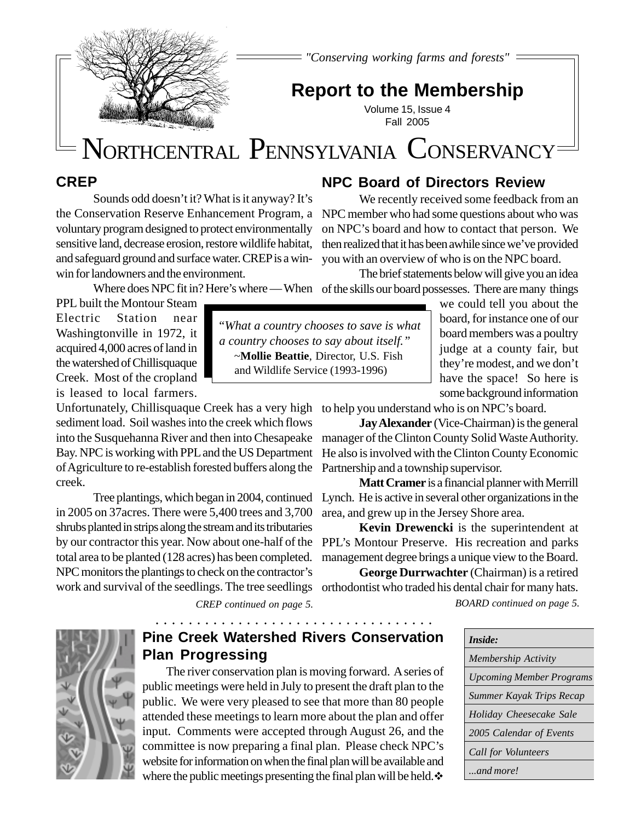*"Conserving working farms and forests"*

## **Report to the Membership**

Volume 15, Issue 4 Fall 2005

# NORTHCENTRAL PENNSYLVANIA CONSERVANCY

#### **CREP**

Sounds odd doesn't it? What is it anyway? It's the Conservation Reserve Enhancement Program, a voluntary program designed to protect environmentally sensitive land, decrease erosion, restore wildlife habitat, and safeguard ground and surface water. CREP is a winwin for landowners and the environment.

#### **NPC Board of Directors Review**

We recently received some feedback from an NPC member who had some questions about who was on NPC's board and how to contact that person. We then realized that it has been awhile since we've provided you with an overview of who is on the NPC board.

The brief statements below will give you an idea

Where does NPC fit in? Here's where — When of the skills our board possesses. There are many things

PPL built the Montour Steam Electric Station near Washingtonville in 1972, it acquired 4,000 acres of land in the watershed of Chillisquaque Creek. Most of the cropland is leased to local farmers.

Unfortunately, Chillisquaque Creek has a very high to help you understand who is on NPC's board. sediment load. Soil washes into the creek which flows into the Susquehanna River and then into Chesapeake Bay. NPC is working with PPL and the US Department of Agriculture to re-establish forested buffers along the creek.

by our contractor this year. Now about one-half of the PPL's Montour Preserve. His recreation and parks in 2005 on 37acres. There were 5,400 trees and 3,700 shrubs planted in strips along the stream and its tributaries total area to be planted (128 acres) has been completed. NPC monitors the plantings to check on the contractor's

*CREP continued on page 5.*

○○○○○○○○○○○○○○○○○○○○○ ○○○○○○○○○○○○○

"*What a country chooses to save is what a country chooses to say about itself."* ~**Mollie Beattie**, Director, U.S. Fish and Wildlife Service (1993-1996)

we could tell you about the board, for instance one of our board members was a poultry judge at a county fair, but they're modest, and we don't have the space! So here is some background information

**Jay Alexander** (Vice-Chairman) is the general manager of the Clinton County Solid Waste Authority. He also is involved with the Clinton County Economic Partnership and a township supervisor.

**Matt Cramer** is a financial planner with Merrill Tree plantings, which began in 2004, continued Lynch. He is active in several other organizations in the area, and grew up in the Jersey Shore area.

> **Kevin Drewencki** is the superintendent at management degree brings a unique view to the Board.

**George Durrwachter** (Chairman) is a retired work and survival of the seedlings. The tree seedlings orthodontist who traded his dental chair for many hats. *BOARD continued on page 5.*

| Inside:                         |  |  |  |
|---------------------------------|--|--|--|
| Membership Activity             |  |  |  |
| <b>Upcoming Member Programs</b> |  |  |  |
| Summer Kayak Trips Recap        |  |  |  |
| Holiday Cheesecake Sale         |  |  |  |
| 2005 Calendar of Events         |  |  |  |
| Call for Volunteers             |  |  |  |
| and more!                       |  |  |  |



### **Pine Creek Watershed Rivers Conservation Plan Progressing**

The river conservation plan is moving forward. A series of public meetings were held in July to present the draft plan to the public. We were very pleased to see that more than 80 people attended these meetings to learn more about the plan and offer input. Comments were accepted through August 26, and the committee is now preparing a final plan. Please check NPC's website for information on when the final plan will be available and where the public meetings presenting the final plan will be held.  $\diamond$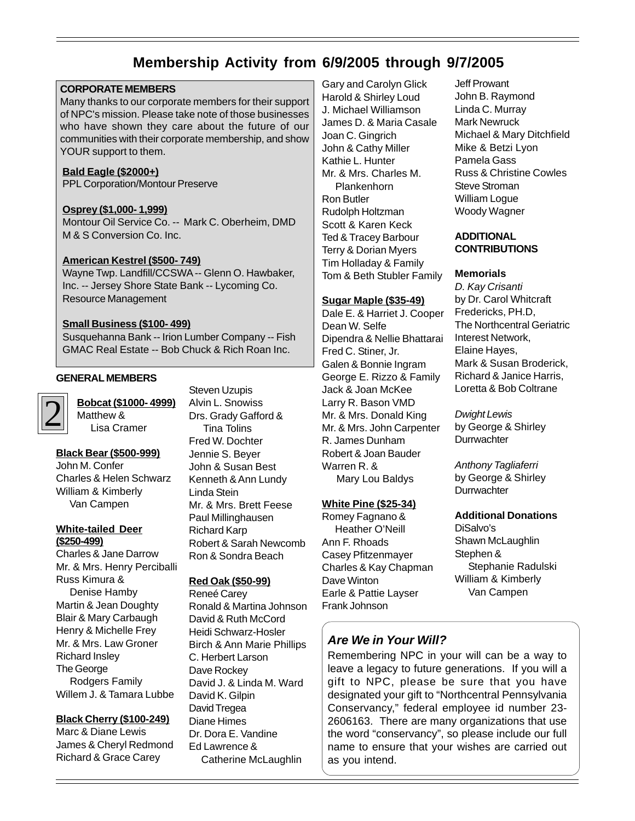## **Membership Activity from 6/9/2005 through 9/7/2005**

#### **CORPORATE MEMBERS**

Many thanks to our corporate members for their support of NPC's mission. Please take note of those businesses who have shown they care about the future of our communities with their corporate membership, and show YOUR support to them.

#### **Bald Eagle (\$2000+)**

PPL Corporation/Montour Preserve

#### **Osprey (\$1,000- 1,999)**

Montour Oil Service Co. -- Mark C. Oberheim, DMD M & S Conversion Co. Inc.

#### **American Kestrel (\$500- 749)**

Wayne Twp. Landfill/CCSWA -- Glenn O. Hawbaker, Inc. -- Jersey Shore State Bank -- Lycoming Co. Resource Management

#### **Small Business (\$100- 499)**

Susquehanna Bank -- Irion Lumber Company -- Fish GMAC Real Estate -- Bob Chuck & Rich Roan Inc.

#### **GENERAL MEMBERS**

2

# **Bobcat (\$1000- 4999)**

Matthew & Lisa Cramer

#### **Black Bear (\$500-999)**

John M. Confer Charles & Helen Schwarz William & Kimberly Van Campen

#### **White-tailed Deer (\$250-499)**

Charles & Jane Darrow Mr. & Mrs. Henry Perciballi Russ Kimura & Denise Hamby Martin & Jean Doughty Blair & Mary Carbaugh Henry & Michelle Frey Mr. & Mrs. Law Groner Richard Insley The George Rodgers Family Willem J. & Tamara Lubbe

#### **Black Cherry (\$100-249)**

Marc & Diane Lewis James & Cheryl Redmond Richard & Grace Carey

Steven Uzupis Alvin L. Snowiss Drs. Grady Gafford & Tina Tolins Fred W. Dochter Jennie S. Beyer John & Susan Best Kenneth & Ann Lundy Linda Stein Mr. & Mrs. Brett Feese Paul Millinghausen Richard Karp Robert & Sarah Newcomb Ron & Sondra Beach

#### **Red Oak (\$50-99)**

Reneé Carey Ronald & Martina Johnson David & Ruth McCord Heidi Schwarz-Hosler Birch & Ann Marie Phillips C. Herbert Larson Dave Rockey David J. & Linda M. Ward David K. Gilpin David Tregea Diane Himes Dr. Dora E. Vandine Ed Lawrence & Catherine McLaughlin

Gary and Carolyn Glick Harold & Shirley Loud J. Michael Williamson James D. & Maria Casale Joan C. Gingrich John & Cathy Miller Kathie L. Hunter Mr. & Mrs. Charles M. Plankenhorn Ron Butler Rudolph Holtzman Scott & Karen Keck Ted & Tracey Barbour Terry & Dorian Myers Tim Holladay & Family Tom & Beth Stubler Family

#### **Sugar Maple (\$35-49)**

Dale E. & Harriet J. Cooper Dean W. Selfe Dipendra & Nellie Bhattarai Fred C. Stiner, Jr. Galen & Bonnie Ingram George E. Rizzo & Family Jack & Joan McKee Larry R. Bason VMD Mr. & Mrs. Donald King Mr. & Mrs. John Carpenter R. James Dunham Robert & Joan Bauder Warren R. & Mary Lou Baldys

#### **White Pine (\$25-34)**

Romey Fagnano & Heather O'Neill Ann F. Rhoads Casey Pfitzenmayer Charles & Kay Chapman Dave Winton Earle & Pattie Layser Frank Johnson

#### Jeff Prowant John B. Raymond Linda C. Murray Mark Newruck Michael & Mary Ditchfield Mike & Betzi Lyon Pamela Gass Russ & Christine Cowles Steve Stroman William Logue Woody Wagner

#### **ADDITIONAL CONTRIBUTIONS**

#### **Memorials**

D. Kay Crisanti by Dr. Carol Whitcraft Fredericks, PH.D, The Northcentral Geriatric Interest Network, Elaine Hayes, Mark & Susan Broderick, Richard & Janice Harris, Loretta & Bob Coltrane

Dwight Lewis by George & Shirley **Durrwachter** 

Anthony Tagliaferri by George & Shirley **Durrwachter** 

#### **Additional Donations**

DiSalvo's Shawn McLaughlin Stephen & Stephanie Radulski William & Kimberly Van Campen

#### **Are We in Your Will?**

Remembering NPC in your will can be a way to leave a legacy to future generations. If you will a gift to NPC, please be sure that you have designated your gift to "Northcentral Pennsylvania Conservancy," federal employee id number 23- 2606163. There are many organizations that use the word "conservancy", so please include our full name to ensure that your wishes are carried out as you intend.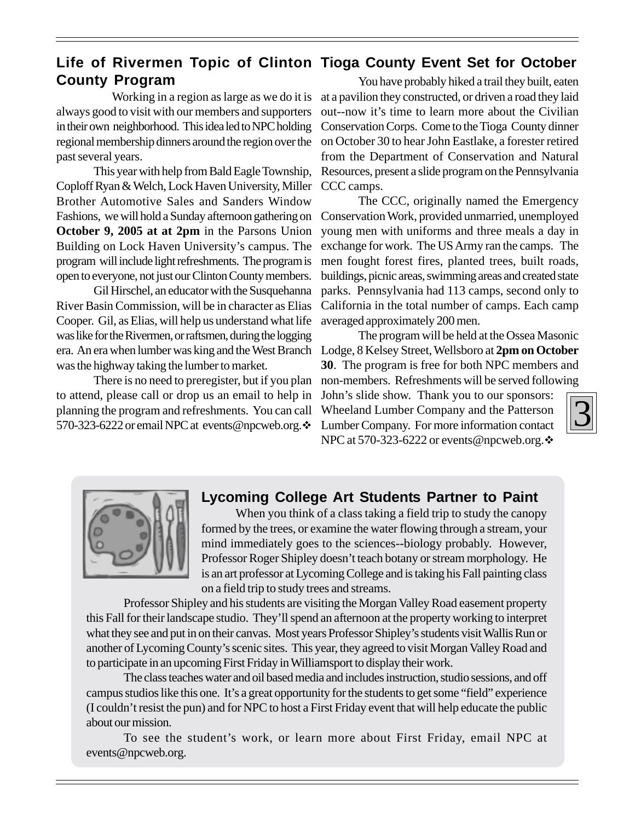### **Life of Rivermen Topic of Clinton Tioga County Event Set for October County Program**

 Working in a region as large as we do it is always good to visit with our members and supporters in their own neighborhood. This idea led to NPC holding regional membership dinners around the region over the past several years.

This year with help from Bald Eagle Township, Coploff Ryan & Welch, Lock Haven University, Miller Brother Automotive Sales and Sanders Window Fashions, we will hold a Sunday afternoon gathering on **October 9, 2005 at at 2pm** in the Parsons Union Building on Lock Haven University's campus. The program will include light refreshments. The program is open to everyone, not just our Clinton County members.

Gil Hirschel, an educator with the Susquehanna River Basin Commission, will be in character as Elias Cooper. Gil, as Elias, will help us understand what life was like for the Rivermen, or raftsmen, during the logging era. An era when lumber was king and the West Branch Lodge, 8 Kelsey Street, Wellsboro at **2pm on October** was the highway taking the lumber to market.

There is no need to preregister, but if you plan to attend, please call or drop us an email to help in planning the program and refreshments. You can call 570-323-6222 or email NPC at events@npcweb.org. $\cdot$ 

You have probably hiked a trail they built, eaten at a pavilion they constructed, or driven a road they laid out--now it's time to learn more about the Civilian Conservation Corps. Come to the Tioga County dinner on October 30 to hear John Eastlake, a forester retired from the Department of Conservation and Natural Resources, present a slide program on the Pennsylvania CCC camps.

The CCC, originally named the Emergency Conservation Work, provided unmarried, unemployed young men with uniforms and three meals a day in exchange for work. The US Army ran the camps. The men fought forest fires, planted trees, built roads, buildings, picnic areas, swimming areas and created state parks. Pennsylvania had 113 camps, second only to California in the total number of camps. Each camp averaged approximately 200 men.

The program will be held at the Ossea Masonic **30**. The program is free for both NPC members and non-members. Refreshments will be served following

John's slide show. Thank you to our sponsors: Wheeland Lumber Company and the Patterson Lumber Company. For more information contact NPC at 570-323-6222 or events@npcweb.org. $\cdot$ 



#### **Lycoming College Art Students Partner to Paint**

When you think of a class taking a field trip to study the canopy formed by the trees, or examine the water flowing through a stream, your mind immediately goes to the sciences--biology probably. However, Professor Roger Shipley doesn't teach botany or stream morphology. He is an art professor at Lycoming College and is taking his Fall painting class on a field trip to study trees and streams.

Professor Shipley and his students are visiting the Morgan Valley Road easement property this Fall for their landscape studio. They'll spend an afternoon at the property working to interpret what they see and put in on their canvas. Most years Professor Shipley's students visit Wallis Run or another of Lycoming County's scenic sites. This year, they agreed to visit Morgan Valley Road and to participate in an upcoming First Friday in Williamsport to display their work.

The class teaches water and oil based media and includes instruction, studio sessions, and off campus studios like this one. It's a great opportunity for the students to get some "field" experience (I couldn't resist the pun) and for NPC to host a First Friday event that will help educate the public about our mission.

To see the student's work, or learn more about First Friday, email NPC at events@npcweb.org.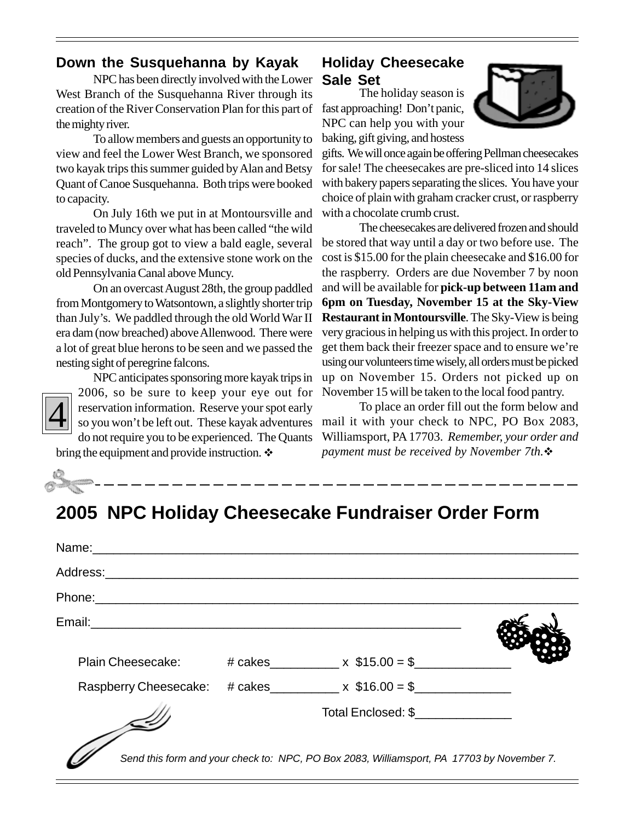#### **Down the Susquehanna by Kayak**

NPC has been directly involved with the Lower West Branch of the Susquehanna River through its creation of the River Conservation Plan for this part of the mighty river.

To allow members and guests an opportunity to view and feel the Lower West Branch, we sponsored two kayak trips this summer guided by Alan and Betsy Quant of Canoe Susquehanna. Both trips were booked to capacity.

On July 16th we put in at Montoursville and traveled to Muncy over what has been called "the wild reach". The group got to view a bald eagle, several species of ducks, and the extensive stone work on the old Pennsylvania Canal above Muncy.

On an overcast August 28th, the group paddled from Montgomery to Watsontown, a slightly shorter trip than July's. We paddled through the old World War II era dam (now breached) above Allenwood. There were a lot of great blue herons to be seen and we passed the nesting sight of peregrine falcons.

# 4

2006, so be sure to keep your eye out for reservation information. Reserve your spot early so you won't be left out. These kayak adventures do not require you to be experienced. The Quants

NPC anticipates sponsoring more kayak trips in

bring the equipment and provide instruction.  $\cdot$ 

## **Holiday Cheesecake Sale Set**

The holiday season is fast approaching! Don't panic, NPC can help you with your baking, gift giving, and hostess



gifts. We will once again be offering Pellman cheesecakes for sale! The cheesecakes are pre-sliced into 14 slices with bakery papers separating the slices. You have your choice of plain with graham cracker crust, or raspberry with a chocolate crumb crust.

The cheesecakes are delivered frozen and should be stored that way until a day or two before use. The cost is \$15.00 for the plain cheesecake and \$16.00 for the raspberry. Orders are due November 7 by noon and will be available for **pick-up between 11am and 6pm on Tuesday, November 15 at the Sky-View Restaurant in Montoursville**. The Sky-View is being very gracious in helping us with this project. In order to get them back their freezer space and to ensure we're using our volunteers time wisely, all orders must be picked up on November 15. Orders not picked up on November 15 will be taken to the local food pantry.

To place an order fill out the form below and mail it with your check to NPC, PO Box 2083, Williamsport, PA 17703. *Remember, your order and payment must be received by November 7th.*!

# **2005 NPC Holiday Cheesecake Fundraiser Order Form**

| Name: \\cdot \\cdot \\cdot \\cdot \\cdot \\cdot \\cdot \\cdot \\cdot \\cdot \\cdot \\cdot \\cdot \\cdot \\cdot \\cdot \\cdot \\cdot \\cdot \\cdot \\cdot \\cdot \\cdot \\cdot \\cdot \\cdot \\cdot \\cdot \\cdot \\cdot \\cdot |                                                                                           |  |
|--------------------------------------------------------------------------------------------------------------------------------------------------------------------------------------------------------------------------------|-------------------------------------------------------------------------------------------|--|
| Address: _________________________                                                                                                                                                                                             |                                                                                           |  |
|                                                                                                                                                                                                                                |                                                                                           |  |
| Email: 2008. 2009. 2010. 2010. 2010. 2010. 2010. 2010. 2010. 2010. 2010. 2010. 2010. 2010. 2010. 2010. 2010. 20                                                                                                                |                                                                                           |  |
|                                                                                                                                                                                                                                | Plain Cheesecake: $\#$ cakes _________ x $$15.00 = $$ _________                           |  |
|                                                                                                                                                                                                                                | Raspberry Cheesecake: # cakes _________ x $$16.00 = $$ ___________                        |  |
|                                                                                                                                                                                                                                | Total Enclosed: \$                                                                        |  |
|                                                                                                                                                                                                                                | Send this form and your check to: NPC, PO Box 2083, Williamsport, PA 17703 by November 7. |  |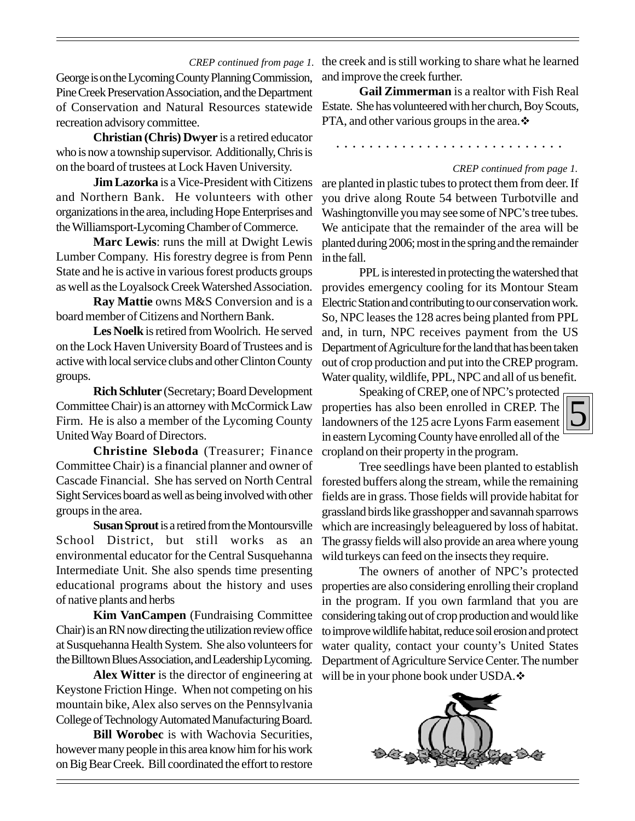George is on the Lycoming County Planning Commission, Pine Creek Preservation Association, and the Department of Conservation and Natural Resources statewide recreation advisory committee.

**Christian (Chris) Dwyer** is a retired educator who is now a township supervisor. Additionally, Chris is on the board of trustees at Lock Haven University.

**Jim Lazorka** is a Vice-President with Citizens and Northern Bank. He volunteers with other organizations in the area, including Hope Enterprises and the Williamsport-Lycoming Chamber of Commerce.

**Marc Lewis**: runs the mill at Dwight Lewis Lumber Company. His forestry degree is from Penn State and he is active in various forest products groups as well as the Loyalsock Creek Watershed Association.

**Ray Mattie** owns M&S Conversion and is a board member of Citizens and Northern Bank.

**Les Noelk** is retired from Woolrich. He served on the Lock Haven University Board of Trustees and is active with local service clubs and other Clinton County groups.

**Rich Schluter** (Secretary; Board Development Committee Chair) is an attorney with McCormick Law Firm. He is also a member of the Lycoming County United Way Board of Directors.

**Christine Sleboda** (Treasurer; Finance Committee Chair) is a financial planner and owner of Cascade Financial. She has served on North Central Sight Services board as well as being involved with other groups in the area.

**Susan Sprout** is a retired from the Montoursville School District, but still works as an environmental educator for the Central Susquehanna Intermediate Unit. She also spends time presenting educational programs about the history and uses of native plants and herbs

**Kim VanCampen** (Fundraising Committee Chair) is an RN now directing the utilization review office at Susquehanna Health System. She also volunteers for the Billtown Blues Association, and Leadership Lycoming.

**Alex Witter** is the director of engineering at Keystone Friction Hinge. When not competing on his mountain bike, Alex also serves on the Pennsylvania College of Technology Automated Manufacturing Board.

**Bill Worobec** is with Wachovia Securities, however many people in this area know him for his work on Big Bear Creek. Bill coordinated the effort to restore

CREP continued from page 1. the creek and is still working to share what he learned and improve the creek further.

> **Gail Zimmerman** is a realtor with Fish Real Estate. She has volunteered with her church, Boy Scouts, PTA, and other various groups in the area. $\cdot\cdot\cdot$

○○○○○○○○○○○○○○○○○○○○○○○○○○○○

#### *CREP continued from page 1.*

5

are planted in plastic tubes to protect them from deer. If you drive along Route 54 between Turbotville and Washingtonville you may see some of NPC's tree tubes. We anticipate that the remainder of the area will be planted during 2006; most in the spring and the remainder in the fall.

PPL is interested in protecting the watershed that provides emergency cooling for its Montour Steam Electric Station and contributing to our conservation work. So, NPC leases the 128 acres being planted from PPL and, in turn, NPC receives payment from the US Department of Agriculture for the land that has been taken out of crop production and put into the CREP program. Water quality, wildlife, PPL, NPC and all of us benefit.

Speaking of CREP, one of NPC's protected properties has also been enrolled in CREP. The landowners of the 125 acre Lyons Farm easement in eastern Lycoming County have enrolled all of the cropland on their property in the program.

Tree seedlings have been planted to establish forested buffers along the stream, while the remaining fields are in grass. Those fields will provide habitat for grassland birds like grasshopper and savannah sparrows which are increasingly beleaguered by loss of habitat. The grassy fields will also provide an area where young wild turkeys can feed on the insects they require.

The owners of another of NPC's protected properties are also considering enrolling their cropland in the program. If you own farmland that you are considering taking out of crop production and would like to improve wildlife habitat, reduce soil erosion and protect water quality, contact your county's United States Department of Agriculture Service Center. The number will be in your phone book under USDA. $\cdot$